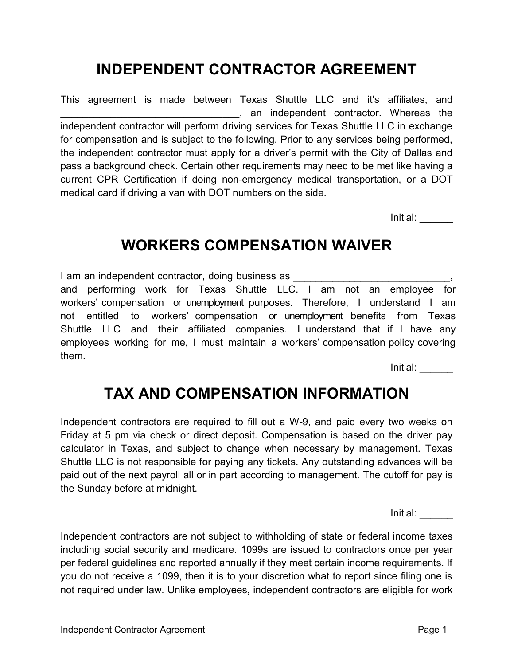# INDEPENDENT CONTRACTOR AGREEMENT

This agreement is made between Texas Shuttle LLC and it's affiliates, and \_\_\_\_\_\_\_\_\_\_\_\_\_\_\_\_\_\_\_\_\_\_\_\_\_\_\_\_\_\_\_\_, an independent contractor. Whereas the independent contractor will perform driving services for Texas Shuttle LLC in exchange for compensation and is subject to the following. Prior to any services being performed, the independent contractor must apply for a driver's permit with the City of Dallas and pass a background check. Certain other requirements may need to be met like having a current CPR Certification if doing non-emergency medical transportation, or a DOT medical card if driving a van with DOT numbers on the side.

Initial: \_\_\_\_\_\_

#### WORKERS COMPENSATION WAIVER

I am an independent contractor, doing business as \_\_\_\_\_\_\_\_\_\_\_\_\_\_\_\_\_\_\_\_\_\_\_\_\_\_\_\_\_\_ and performing work for Texas Shuttle LLC. I am not an employee for workers' compensation or unemployment purposes. Therefore, I understand I am not entitled to workers' compensation or unemployment benefits from Texas Shuttle LLC and their affiliated companies. I understand that if I have any employees working for me, I must maintain a workers' compensation policy covering them.

Initial: \_\_\_\_\_\_

### TAX AND COMPENSATION INFORMATION

Independent contractors are required to fill out a W-9, and paid every two weeks on Friday at 5 pm via check or direct deposit. Compensation is based on the driver pay calculator in Texas, and subject to change when necessary by management. Texas Shuttle LLC is not responsible for paying any tickets. Any outstanding advances will be paid out of the next payroll all or in part according to management. The cutoff for pay is the Sunday before at midnight.

Initial: \_\_\_\_\_\_

Independent contractors are not subject to withholding of state or federal income taxes including social security and medicare. 1099s are issued to contractors once per year per federal guidelines and reported annually if they meet certain income requirements. If you do not receive a 1099, then it is to your discretion what to report since filing one is not required under law. Unlike employees, independent contractors are eligible for work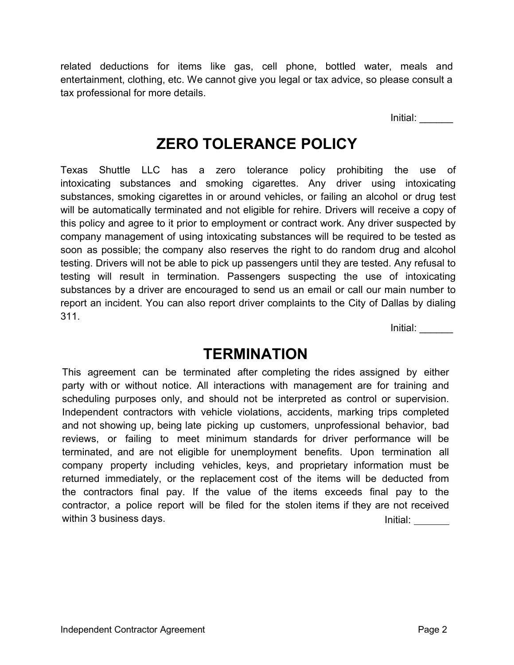related deductions for items like gas, cell phone, bottled water, meals and entertainment, clothing, etc. We cannot give you legal or tax advice, so please consult a tax professional for more details.

Initial: \_\_\_\_\_\_

# ZERO TOLERANCE POLICY

Texas Shuttle LLC has a zero tolerance policy prohibiting the use of intoxicating substances and smoking cigarettes. Any driver using intoxicating substances, smoking cigarettes in or around vehicles, or failing an alcohol or drug test will be automatically terminated and not eligible for rehire. Drivers will receive a copy of this policy and agree to it prior to employment or contract work. Any driver suspected by company management of using intoxicating substances will be required to be tested as soon as possible; the company also reserves the right to do random drug and alcohol testing. Drivers will not be able to pick up passengers until they are tested. Any refusal to testing will result in termination. Passengers suspecting the use of intoxicating substances by a driver are encouraged to send us an email or call our main number to report an incident. You can also report driver complaints to the City of Dallas by dialing 311.

Initial: \_\_\_\_\_\_

#### **TERMINATION**

This agreement can be terminated after completing the rides assigned by either party with or without notice. All interactions with management are for training and scheduling purposes only, and should not be interpreted as control or supervision. Independent contractors with vehicle violations, accidents, marking trips completed and not showing up, being late picking up customers, unprofessional behavior, bad reviews, or failing to meet minimum standards for driver performance will be terminated, and are not eligible for unemployment benefits. Upon termination all company property including vehicles, keys, and proprietary information must be returned immediately, or the replacement cost of the items will be deducted from the contractors final pay. If the value of the items exceeds final pay to the contractor, a police report will be filed for the stolen items if they are not received within 3 business days. Initial: Initial: Initial: Initial: Initial: Initial: Initial: Initial: Initial: Initial: Initial: Initial: Initial: Initial: Initial: Initial: Initial: Initial: Initial: Initial: Initial: Initial: